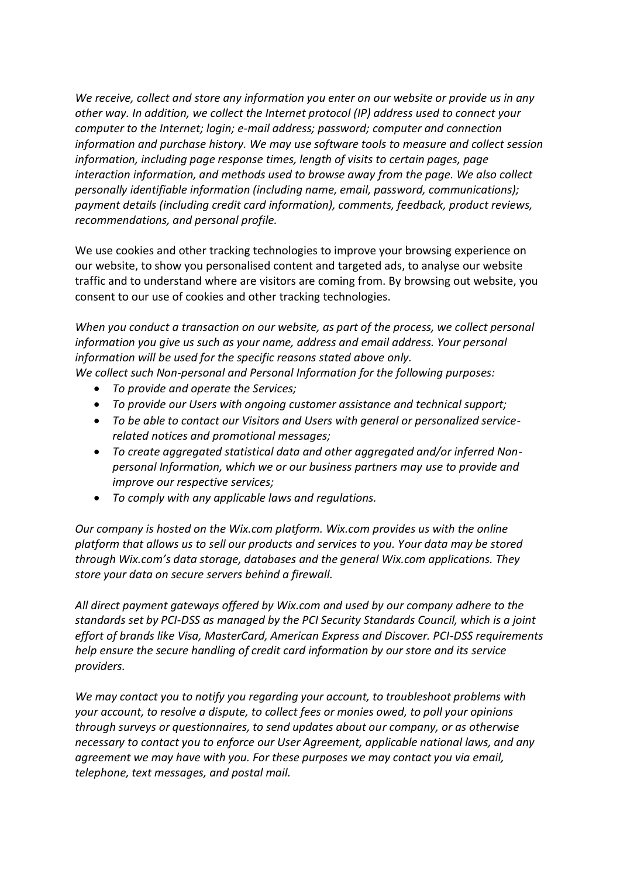*We receive, collect and store any information you enter on our website or provide us in any other way. In addition, we collect the Internet protocol (IP) address used to connect your computer to the Internet; login; e-mail address; password; computer and connection information and purchase history. We may use software tools to measure and collect session information, including page response times, length of visits to certain pages, page interaction information, and methods used to browse away from the page. We also collect personally identifiable information (including name, email, password, communications); payment details (including credit card information), comments, feedback, product reviews, recommendations, and personal profile.*

We use cookies and other tracking technologies to improve your browsing experience on our website, to show you personalised content and targeted ads, to analyse our website traffic and to understand where are visitors are coming from. By browsing out website, you consent to our use of cookies and other tracking technologies.

*When you conduct a transaction on our website, as part of the process, we collect personal information you give us such as your name, address and email address. Your personal information will be used for the specific reasons stated above only.*

*We collect such Non-personal and Personal Information for the following purposes:*

- *To provide and operate the Services;*
- *To provide our Users with ongoing customer assistance and technical support;*
- *To be able to contact our Visitors and Users with general or personalized servicerelated notices and promotional messages;*
- *To create aggregated statistical data and other aggregated and/or inferred Nonpersonal Information, which we or our business partners may use to provide and improve our respective services;*
- *To comply with any applicable laws and regulations.*

*Our company is hosted on the Wix.com platform. Wix.com provides us with the online platform that allows us to sell our products and services to you. Your data may be stored through Wix.com's data storage, databases and the general Wix.com applications. They store your data on secure servers behind a firewall.*

*All direct payment gateways offered by Wix.com and used by our company adhere to the standards set by PCI-DSS as managed by the PCI Security Standards Council, which is a joint effort of brands like Visa, MasterCard, American Express and Discover. PCI-DSS requirements help ensure the secure handling of credit card information by our store and its service providers.*

*We may contact you to notify you regarding your account, to troubleshoot problems with your account, to resolve a dispute, to collect fees or monies owed, to poll your opinions through surveys or questionnaires, to send updates about our company, or as otherwise necessary to contact you to enforce our User Agreement, applicable national laws, and any agreement we may have with you. For these purposes we may contact you via email, telephone, text messages, and postal mail.*